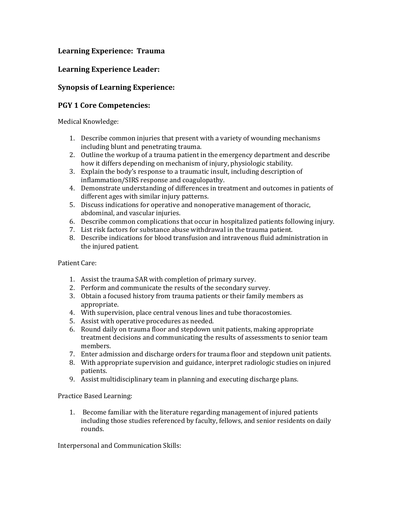## **Learning Experience: Trauma**

## **Learning Experience Leader:**

# **Synopsis of Learning Experience:**

### **PGY 1 Core Competencies:**

Medical Knowledge:

- 1. Describe common injuries that present with a variety of wounding mechanisms including blunt and penetrating trauma.
- 2. Outline the workup of a trauma patient in the emergency department and describe how it differs depending on mechanism of injury, physiologic stability.
- 3. Explain the body's response to a traumatic insult, including description of inflammation/SIRS response and coagulopathy.
- 4. Demonstrate understanding of differences in treatment and outcomes in patients of different ages with similar injury patterns.
- 5. Discuss indications for operative and nonoperative management of thoracic, abdominal, and vascular injuries.
- 6. Describe common complications that occur in hospitalized patients following injury.
- 7. List risk factors for substance abuse withdrawal in the trauma patient.
- 8. Describe indications for blood transfusion and intravenous fluid administration in the injured patient.

### Patient Care:

- 1. Assist the trauma SAR with completion of primary survey.
- 2. Perform and communicate the results of the secondary survey.
- 3. Obtain a focused history from trauma patients or their family members as appropriate.
- 4. With supervision, place central venous lines and tube thoracostomies.
- 5. Assist with operative procedures as needed.
- 6. Round daily on trauma floor and stepdown unit patients, making appropriate treatment decisions and communicating the results of assessments to senior team members.
- 7. Enter admission and discharge orders for trauma floor and stepdown unit patients.
- 8. With appropriate supervision and guidance, interpret radiologic studies on injured patients.
- 9. Assist multidisciplinary team in planning and executing discharge plans.

### Practice Based Learning:

1. Become familiar with the literature regarding management of injured patients including those studies referenced by faculty, fellows, and senior residents on daily rounds.

Interpersonal and Communication Skills: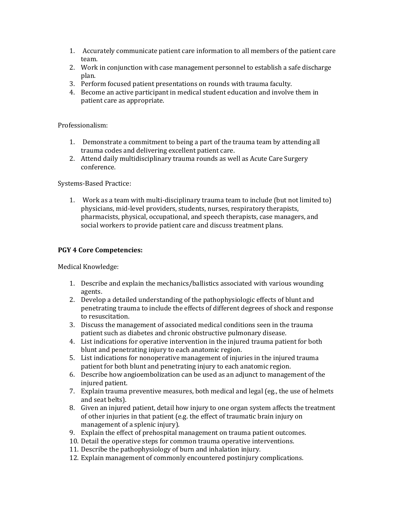- 1. Accurately communicate patient care information to all members of the patient care team.
- 2. Work in conjunction with case management personnel to establish a safe discharge plan.
- 3. Perform focused patient presentations on rounds with trauma faculty.
- 4. Become an active participant in medical student education and involve them in patient care as appropriate.

Professionalism:

- 1. Demonstrate a commitment to being a part of the trauma team by attending all trauma codes and delivering excellent patient care.
- 2. Attend daily multidisciplinary trauma rounds as well as Acute Care Surgery conference.

Systems-Based Practice:

1. Work as a team with multi-disciplinary trauma team to include (but not limited to) physicians, mid-level providers, students, nurses, respiratory therapists, pharmacists, physical, occupational, and speech therapists, case managers, and social workers to provide patient care and discuss treatment plans.

#### **PGY 4 Core Competencies:**

Medical Knowledge:

- 1. Describe and explain the mechanics/ballistics associated with various wounding agents.
- 2. Develop a detailed understanding of the pathophysiologic effects of blunt and penetrating trauma to include the effects of different degrees of shock and response to resuscitation.
- 3. Discuss the management of associated medical conditions seen in the trauma patient such as diabetes and chronic obstructive pulmonary disease.
- 4. List indications for operative intervention in the injured trauma patient for both blunt and penetrating injury to each anatomic region.
- 5. List indications for nonoperative management of injuries in the injured trauma patient for both blunt and penetrating injury to each anatomic region.
- 6. Describe how angioembolization can be used as an adjunct to management of the injured patient.
- 7. Explain trauma preventive measures, both medical and legal (eg., the use of helmets and seat belts).
- 8. Given an injured patient, detail how injury to one organ system affects the treatment of other injuries in that patient (e.g. the effect of traumatic brain injury on management of a splenic injury).
- 9. Explain the effect of prehospital management on trauma patient outcomes.
- 10. Detail the operative steps for common trauma operative interventions.
- 11. Describe the pathophysiology of burn and inhalation injury.
- 12. Explain management of commonly encountered postinjury complications.